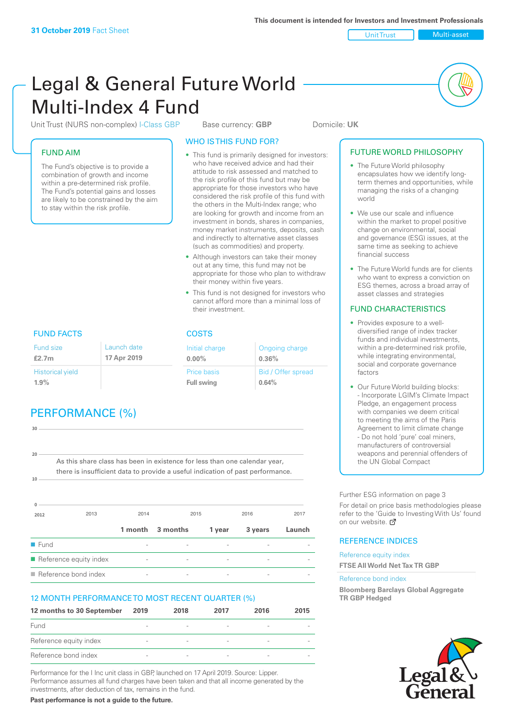Unit Trust Multi-asset

# Legal & General Future World Multi-Index 4 Fund

Unit Trust (NURS non-complex) I-Class GBP Base currency: **GBP** Domicile: UK

### FUND AIM

The Fund's objective is to provide a combination of growth and income within a pre-determined risk profile. The Fund's potential gains and losses are likely to be constrained by the aim to stay within the risk profile.

### WHO IS THIS FUND FOR?

- This fund is primarily designed for investors: who have received advice and had their attitude to risk assessed and matched to the risk profile of this fund but may be appropriate for those investors who have considered the risk profile of this fund with the others in the Multi-Index range; who are looking for growth and income from an investment in bonds, shares in companies, money market instruments, deposits, cash and indirectly to alternative asset classes (such as commodities) and property.
- Although investors can take their money out at any time, this fund may not be appropriate for those who plan to withdraw their money within five years.
- This fund is not designed for investors who cannot afford more than a minimal loss of their investment.

Ongoing charge

Bid / Offer spread

**0.36%**

**0.64%**

Initial charge **0.00%**

Price basis **Full swing**

# FUND FACTS COSTS

| Fund size<br>£2.7m      | Launch date<br>17 Apr 2019 |
|-------------------------|----------------------------|
| <b>Historical yield</b> |                            |
| 1.9%                    |                            |

# PERFORMANCE (%)

| 30                  |                                                                                |      |                          |                          |         |        |
|---------------------|--------------------------------------------------------------------------------|------|--------------------------|--------------------------|---------|--------|
|                     |                                                                                |      |                          |                          |         |        |
| 20                  |                                                                                |      |                          |                          |         |        |
|                     | As this share class has been in existence for less than one calendar year,     |      |                          |                          |         |        |
|                     | there is insufficient data to provide a useful indication of past performance. |      |                          |                          |         |        |
| 10 <sup>1</sup>     |                                                                                |      |                          |                          |         |        |
|                     |                                                                                |      |                          |                          |         |        |
|                     |                                                                                |      |                          |                          |         |        |
| 2012                | 2013                                                                           | 2014 | 2015                     |                          | 2016    | 2017   |
|                     |                                                                                |      | 1 month 3 months         | 1 year                   | 3 years | Launch |
| $\blacksquare$ Fund |                                                                                |      | $\overline{\phantom{a}}$ | $\overline{\phantom{a}}$ |         |        |
|                     | Reference equity index                                                         |      |                          |                          |         |        |

n Reference bond index  $\overline{\phantom{a}}$  -  $\overline{\phantom{a}}$  -  $\overline{\phantom{a}}$  -

### 12 MONTH PERFORMANCE TO MOST RECENT QUARTER (%)

| 12 months to 30 September | 2019                     | 2018                     | 2017                     | 2016                     | 2015 |
|---------------------------|--------------------------|--------------------------|--------------------------|--------------------------|------|
| Fund                      |                          |                          | $\overline{\phantom{a}}$ |                          |      |
| Reference equity index    | $\overline{\phantom{a}}$ | $\overline{\phantom{a}}$ | $\qquad \qquad$          | $\overline{\phantom{a}}$ |      |
| Reference bond index      | $\overline{\phantom{a}}$ |                          | $\qquad \qquad$          |                          |      |

Performance for the I Inc unit class in GBP, launched on 17 April 2019. Source: Lipper. Performance assumes all fund charges have been taken and that all income generated by the investments, after deduction of tax, remains in the fund.

**Past performance is not a guide to the future.**

### FUTURE WORLD PHILOSOPHY • The Future World philosophy encapsulates how we identify longterm themes and opportunities, while managing the risks of a changing world • We use our scale and influence

- within the market to propel positive change on environmental, social and governance (ESG) issues, at the same time as seeking to achieve financial success
- The Future World funds are for clients who want to express a conviction on ESG themes, across a broad array of asset classes and strategies

### FUND CHARACTERISTICS

- Provides exposure to a welldiversified range of index tracker funds and individual investments, within a pre-determined risk profile while integrating environmental, social and corporate governance factors
- Our Future World building blocks: - Incorporate LGIM's Climate Impact Pledge, an engagement process with companies we deem critical to meeting the aims of the Paris Agreement to limit climate change - Do not hold 'pure' coal miners, manufacturers of controversial weapons and perennial offenders of the UN Global Compact

Further ESG information on page 3

For detail on price basis methodologies please refer to the 'Guide to Investing With Us' found on our website. a

### REFERENCE INDICES

Reference equity index **FTSE All World Net Tax TR GBP**

#### Reference bond index

**Bloomberg Barclays Global Aggregate TR GBP Hedged**

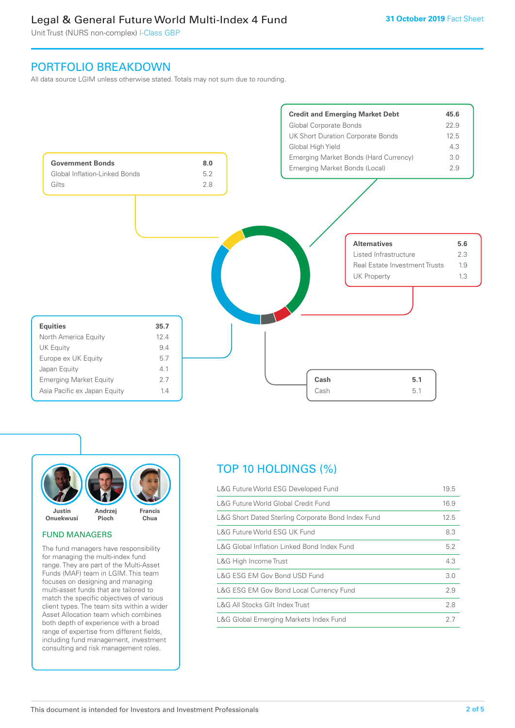# Legal & General Future World Multi-Index 4 Fund

Unit Trust (NURS non-complex) I-Class GBP

### PORTFOLIO BREAKDOWN

All data source LGIM unless otherwise stated. Totals may not sum due to rounding.





### FUND MANAGERS

The fund managers have responsibility for managing the multi-index fund range. They are part of the Multi-Asset Funds (MAF) team in LGIM. This team focuses on designing and managing multi-asset funds that are tailored to match the specific objectives of various client types. The team sits within a wider Asset Allocation team which combines both depth of experience with a broad range of expertise from different fields, including fund management, investment consulting and risk management roles.

# TOP 10 HOLDINGS (%)

| L&G Future World ESG Developed Fund                | 19.5 |
|----------------------------------------------------|------|
| L&G Future World Global Credit Fund                | 16.9 |
| L&G Short Dated Sterling Corporate Bond Index Fund | 12.5 |
| L&G Future World ESG UK Fund                       | 8.3  |
| L&G Global Inflation Linked Bond Index Fund        | 5.2  |
| L&G High Income Trust                              | 4.3  |
| L&G ESG EM Gov Bond USD Fund                       | 3.0  |
| L&G ESG EM Gov Bond Local Currency Fund            | 2.9  |
| L&G All Stocks Gilt Index Trust                    | 2.8  |
| L&G Global Emerging Markets Index Fund             | 27   |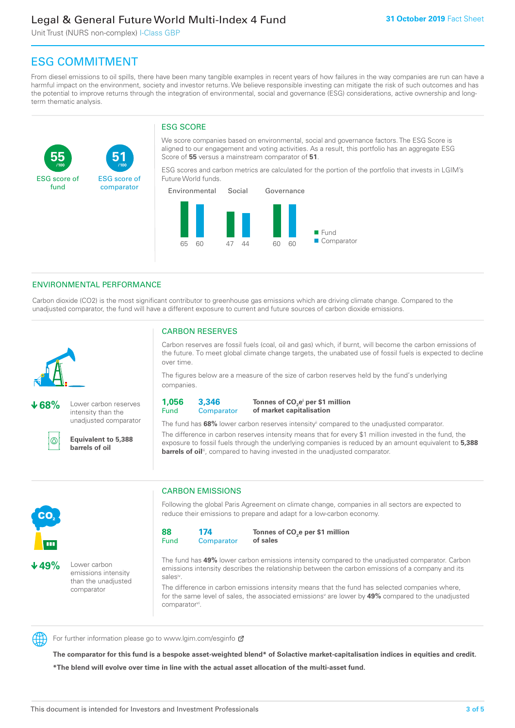# Legal & General Future World Multi-Index 4 Fund

Unit Trust (NURS non-complex) I-Class GBP

**51**

ESG score of comparator

# ESG COMMITMENT

**/100 /100**

From diesel emissions to oil spills, there have been many tangible examples in recent years of how failures in the way companies are run can have a harmful impact on the environment, society and investor returns. We believe responsible investing can mitigate the risk of such outcomes and has the potential to improve returns through the integration of environmental, social and governance (ESG) considerations, active ownership and longterm thematic analysis.

### ESG SCORE

We score companies based on environmental, social and governance factors. The ESG Score is aligned to our engagement and voting activities. As a result, this portfolio has an aggregate ESG Score of **55** versus a mainstream comparator of **51**.

ESG scores and carbon metrics are calculated for the portion of the portfolio that invests in LGIM's Future World funds.



### ENVIRONMENTAL PERFORMANCE

Carbon dioxide (CO2) is the most significant contributor to greenhouse gas emissions which are driving climate change. Compared to the unadjusted comparator, the fund will have a different exposure to current and future sources of carbon dioxide emissions.



൹

**55**

ESG score of fund

**68%** Lower carbon reserves intensity than the

unadjusted comparator

### CARBON RESERVES

Carbon reserves are fossil fuels (coal, oil and gas) which, if burnt, will become the carbon emissions of the future. To meet global climate change targets, the unabated use of fossil fuels is expected to decline over time.

The figures below are a measure of the size of carbon reserves held by the fund's underlying companies.

**1,056** Fund **3,346 Comparator** 

**Tonnes of CO2 ei per \$1 million of market capitalisation**

The fund has **68%** lower carbon reserves intensityii compared to the unadjusted comparator. The difference in carbon reserves intensity means that for every \$1 million invested in the fund, the exposure to fossil fuels through the underlying companies is reduced by an amount equivalent to **5,388** 

**barrels of oil**<sup>iii</sup>, compared to having invested in the unadjusted comparator. **Equivalent to 5,388 barrels of oil**



**49%** Lower carbon emissions intensity than the unadjusted comparator

### CARBON EMISSIONS

Following the global Paris Agreement on climate change, companies in all sectors are expected to reduce their emissions to prepare and adapt for a low-carbon economy.



**Tonnes of CO2 e per \$1 million of sales**

The fund has **49%** lower carbon emissions intensity compared to the unadjusted comparator. Carbon emissions intensity describes the relationship between the carbon emissions of a company and its salesiv

The difference in carbon emissions intensity means that the fund has selected companies where, for the same level of sales, the associated emissions<sup>v</sup> are lower by **49%** compared to the unadjusted comparator<sup>vi</sup>.



For further information please go to www.lgim.com/esginfo Ø

**The comparator for this fund is a bespoke asset-weighted blend\* of Solactive market-capitalisation indices in equities and credit. \*The blend will evolve over time in line with the actual asset allocation of the multi-asset fund.**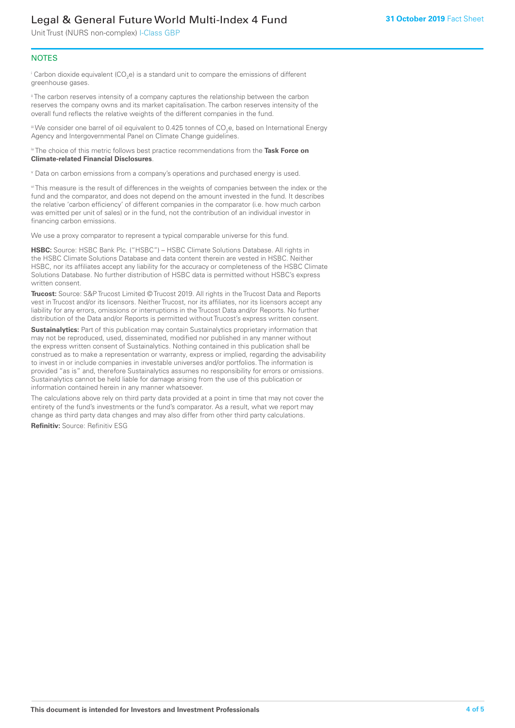# Legal & General Future World Multi-Index 4 Fund

Unit Trust (NURS non-complex) I-Class GBP

### **NOTES**

 $^\mathrm{i}$  Carbon dioxide equivalent (CO<sub>2</sub>e) is a standard unit to compare the emissions of different greenhouse gases.

<sup>ii</sup> The carbon reserves intensity of a company captures the relationship between the carbon reserves the company owns and its market capitalisation. The carbon reserves intensity of the overall fund reflects the relative weights of the different companies in the fund.

iii We consider one barrel of oil equivalent to 0.425 tonnes of CO<sub>2</sub>e, based on International Energy Agency and Intergovernmental Panel on Climate Change guidelines.

#### iv The choice of this metric follows best practice recommendations from the **Task Force on Climate-related Financial Disclosures**.

v Data on carbon emissions from a company's operations and purchased energy is used.

vi This measure is the result of differences in the weights of companies between the index or the fund and the comparator, and does not depend on the amount invested in the fund. It describes the relative 'carbon efficiency' of different companies in the comparator (i.e. how much carbon was emitted per unit of sales) or in the fund, not the contribution of an individual investor in financing carbon emissions.

We use a proxy comparator to represent a typical comparable universe for this fund.

**HSBC:** Source: HSBC Bank Plc. ("HSBC") – HSBC Climate Solutions Database. All rights in the HSBC Climate Solutions Database and data content therein are vested in HSBC. Neither HSBC, nor its affiliates accept any liability for the accuracy or completeness of the HSBC Climate Solutions Database. No further distribution of HSBC data is permitted without HSBC's express written consent.

**Trucost:** Source: S&P Trucost Limited © Trucost 2019. All rights in the Trucost Data and Reports vest in Trucost and/or its licensors. Neither Trucost, nor its affiliates, nor its licensors accept any liability for any errors, omissions or interruptions in the Trucost Data and/or Reports. No further distribution of the Data and/or Reports is permitted without Trucost's express written consent.

**Sustainalytics:** Part of this publication may contain Sustainalytics proprietary information that may not be reproduced, used, disseminated, modified nor published in any manner without the express written consent of Sustainalytics. Nothing contained in this publication shall be construed as to make a representation or warranty, express or implied, regarding the advisability to invest in or include companies in investable universes and/or portfolios. The information is provided "as is" and, therefore Sustainalytics assumes no responsibility for errors or omissions. Sustainalytics cannot be held liable for damage arising from the use of this publication or information contained herein in any manner whatsoever.

The calculations above rely on third party data provided at a point in time that may not cover the entirety of the fund's investments or the fund's comparator. As a result, what we report may change as third party data changes and may also differ from other third party calculations.

**Refinitiv:** Source: Refinitiv ESG